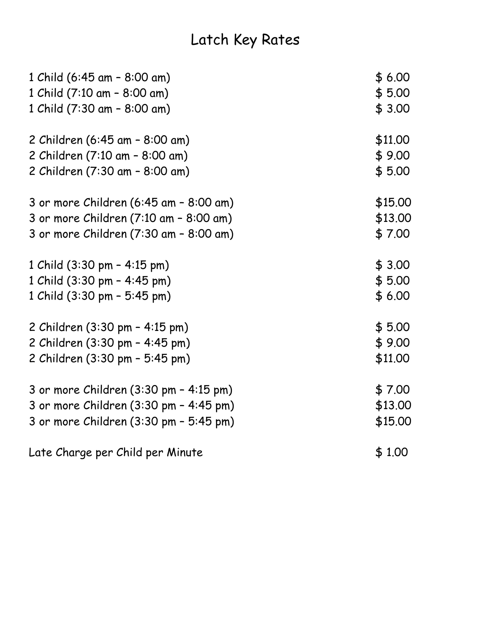## Latch Key Rates

| 1 Child (6:45 am - 8:00 am)            | \$6.00  |
|----------------------------------------|---------|
| 1 Child (7:10 am - 8:00 am)            | \$5.00  |
| 1 Child (7:30 am - 8:00 am)            | \$3.00  |
| 2 Children (6:45 am - 8:00 am)         | \$11.00 |
| 2 Children (7:10 am - 8:00 am)         | \$9.00  |
| 2 Children (7:30 am - 8:00 am)         | \$5.00  |
| 3 or more Children (6:45 am - 8:00 am) | \$15.00 |
| 3 or more Children (7:10 am - 8:00 am) | \$13.00 |
| 3 or more Children (7:30 am - 8:00 am) | \$7.00  |
| 1 Child (3:30 pm - 4:15 pm)            | \$3.00  |
| 1 Child (3:30 pm - 4:45 pm)            | \$5.00  |
| 1 Child (3:30 pm - 5:45 pm)            | \$6.00  |
| 2 Children (3:30 pm - 4:15 pm)         | \$5.00  |
| 2 Children (3:30 pm - 4:45 pm)         | \$9.00  |
| 2 Children (3:30 pm - 5:45 pm)         | \$11.00 |
| 3 or more Children (3:30 pm - 4:15 pm) | \$7.00  |
| 3 or more Children (3:30 pm - 4:45 pm) | \$13.00 |
| 3 or more Children (3:30 pm - 5:45 pm) | \$15.00 |
| Late Charge per Child per Minute       | \$1.00  |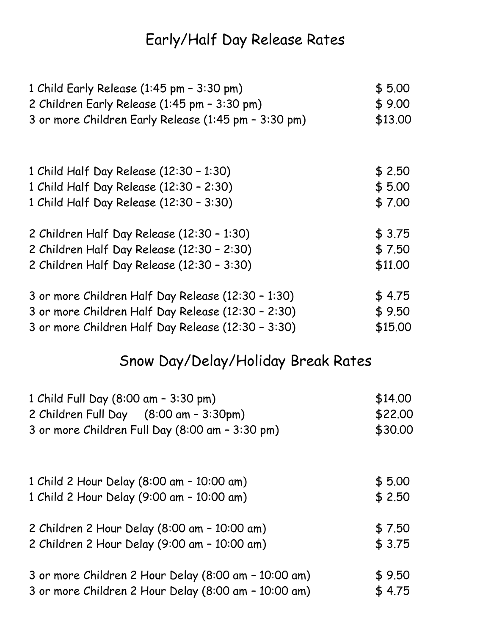## Early/Half Day Release Rates

| 1 Child Early Release (1:45 pm - 3:30 pm)            | \$5.00  |
|------------------------------------------------------|---------|
| 2 Children Early Release (1:45 pm - 3:30 pm)         | \$9.00  |
| 3 or more Children Early Release (1:45 pm - 3:30 pm) | \$13.00 |
|                                                      |         |
| 1 Child Half Day Release (12:30 - 1:30)              | \$2.50  |
| 1 Child Half Day Release (12:30 - 2:30)              | \$5.00  |
| 1 Child Half Day Release (12:30 - 3:30)              | \$7.00  |
| 2 Children Half Day Release (12:30 - 1:30)           | \$3.75  |
| 2 Children Half Day Release (12:30 - 2:30)           | \$7.50  |
| 2 Children Half Day Release (12:30 - 3:30)           | \$11.00 |
| 3 or more Children Half Day Release (12:30 - 1:30)   | \$4.75  |
| 3 or more Children Half Day Release (12:30 - 2:30)   | \$9.50  |
| 3 or more Children Half Day Release (12:30 - 3:30)   | \$15.00 |

## Snow Day/Delay/Holiday Break Rates

| 1 Child Full Day (8:00 am - 3:30 pm)                 | \$14.00 |
|------------------------------------------------------|---------|
| 2 Children Full Day (8:00 am - 3:30pm)               | \$22.00 |
| 3 or more Children Full Day (8:00 am - 3:30 pm)      | \$30.00 |
|                                                      |         |
| 1 Child 2 Hour Delay (8:00 am - 10:00 am)            | \$5.00  |
| 1 Child 2 Hour Delay (9:00 am - 10:00 am)            | \$2.50  |
| 2 Children 2 Hour Delay (8:00 am - 10:00 am)         | \$7.50  |
| 2 Children 2 Hour Delay (9:00 am - 10:00 am)         | \$3.75  |
| 3 or more Children 2 Hour Delay (8:00 am - 10:00 am) | \$9.50  |
| 3 or more Children 2 Hour Delay (8:00 am - 10:00 am) | \$4.75  |